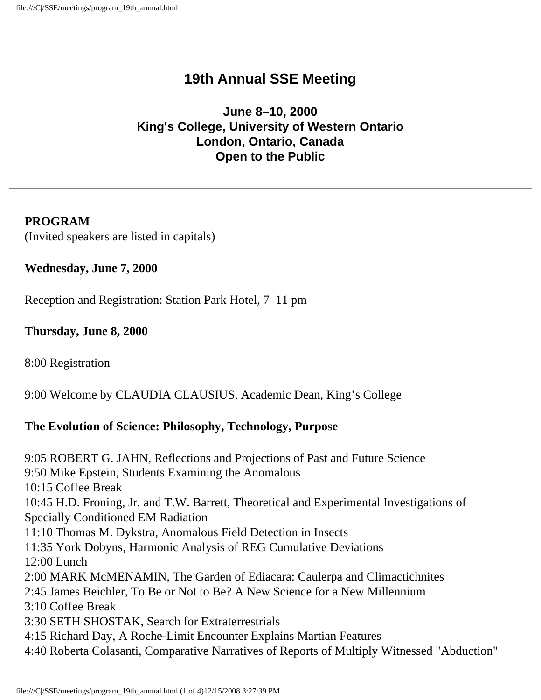# **19th Annual SSE Meeting**

### **June 8–10, 2000 King's College, University of Western Ontario London, Ontario, Canada Open to the Public**

#### **PROGRAM** (Invited speakers are listed in capitals)

#### **Wednesday, June 7, 2000**

Reception and Registration: Station Park Hotel, 7–11 pm

#### **Thursday, June 8, 2000**

8:00 Registration

9:00 Welcome by CLAUDIA CLAUSIUS, Academic Dean, King's College

#### **The Evolution of Science: Philosophy, Technology, Purpose**

9:05 ROBERT G. JAHN, Reflections and Projections of Past and Future Science 9:50 Mike Epstein, Students Examining the Anomalous 10:15 Coffee Break 10:45 H.D. Froning, Jr. and T.W. Barrett, Theoretical and Experimental Investigations of Specially Conditioned EM Radiation 11:10 Thomas M. Dykstra, Anomalous Field Detection in Insects 11:35 York Dobyns, Harmonic Analysis of REG Cumulative Deviations 12:00 Lunch 2:00 MARK McMENAMIN, The Garden of Ediacara: Caulerpa and Climactichnites 2:45 James Beichler, To Be or Not to Be? A New Science for a New Millennium 3:10 Coffee Break 3:30 SETH SHOSTAK, Search for Extraterrestrials 4:15 Richard Day, A Roche-Limit Encounter Explains Martian Features 4:40 Roberta Colasanti, Comparative Narratives of Reports of Multiply Witnessed "Abduction"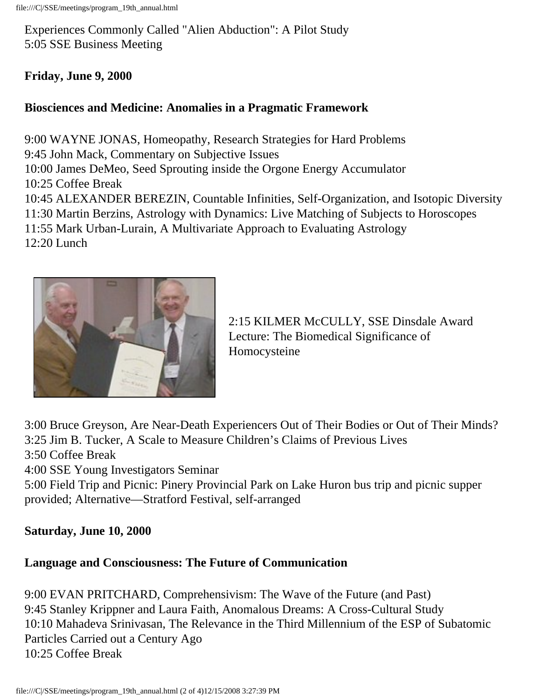Experiences Commonly Called "Alien Abduction": A Pilot Study 5:05 SSE Business Meeting

### **Friday, June 9, 2000**

#### **Biosciences and Medicine: Anomalies in a Pragmatic Framework**

9:00 WAYNE JONAS, Homeopathy, Research Strategies for Hard Problems 9:45 John Mack, Commentary on Subjective Issues 10:00 James DeMeo, Seed Sprouting inside the Orgone Energy Accumulator 10:25 Coffee Break 10:45 ALEXANDER BEREZIN, Countable Infinities, Self-Organization, and Isotopic Diversity 11:30 Martin Berzins, Astrology with Dynamics: Live Matching of Subjects to Horoscopes 11:55 Mark Urban-Lurain, A Multivariate Approach to Evaluating Astrology 12:20 Lunch



2:15 KILMER McCULLY, SSE Dinsdale Award Lecture: The Biomedical Significance of Homocysteine

3:00 Bruce Greyson, Are Near-Death Experiencers Out of Their Bodies or Out of Their Minds? 3:25 Jim B. Tucker, A Scale to Measure Children's Claims of Previous Lives 3:50 Coffee Break

4:00 SSE Young Investigators Seminar

5:00 Field Trip and Picnic: Pinery Provincial Park on Lake Huron bus trip and picnic supper provided; Alternative—Stratford Festival, self-arranged

#### **Saturday, June 10, 2000**

## **Language and Consciousness: The Future of Communication**

9:00 EVAN PRITCHARD, Comprehensivism: The Wave of the Future (and Past) 9:45 Stanley Krippner and Laura Faith, Anomalous Dreams: A Cross-Cultural Study 10:10 Mahadeva Srinivasan, The Relevance in the Third Millennium of the ESP of Subatomic Particles Carried out a Century Ago 10:25 Coffee Break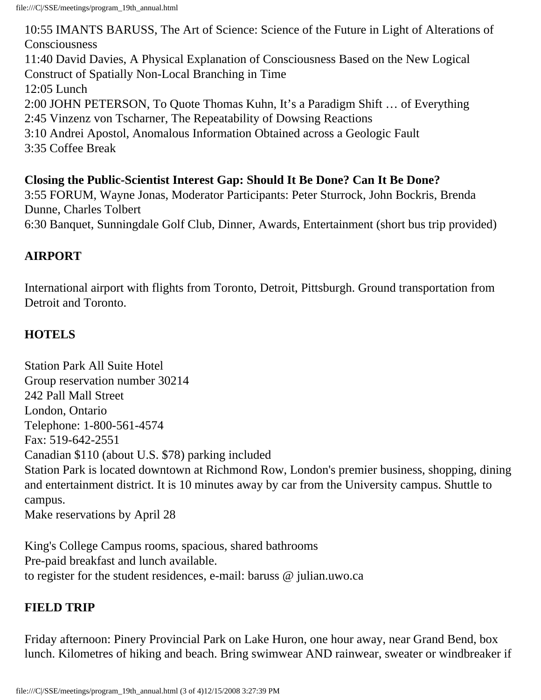10:55 IMANTS BARUSS, The Art of Science: Science of the Future in Light of Alterations of Consciousness 11:40 David Davies, A Physical Explanation of Consciousness Based on the New Logical Construct of Spatially Non-Local Branching in Time 12:05 Lunch 2:00 JOHN PETERSON, To Quote Thomas Kuhn, It's a Paradigm Shift … of Everything 2:45 Vinzenz von Tscharner, The Repeatability of Dowsing Reactions 3:10 Andrei Apostol, Anomalous Information Obtained across a Geologic Fault 3:35 Coffee Break

### **Closing the Public-Scientist Interest Gap: Should It Be Done? Can It Be Done?**

3:55 FORUM, Wayne Jonas, Moderator Participants: Peter Sturrock, John Bockris, Brenda Dunne, Charles Tolbert

6:30 Banquet, Sunningdale Golf Club, Dinner, Awards, Entertainment (short bus trip provided)

### **AIRPORT**

International airport with flights from Toronto, Detroit, Pittsburgh. Ground transportation from Detroit and Toronto.

### **HOTELS**

Station Park All Suite Hotel Group reservation number 30214 242 Pall Mall Street London, Ontario Telephone: 1-800-561-4574 Fax: 519-642-2551 Canadian \$110 (about U.S. \$78) parking included Station Park is located downtown at Richmond Row, London's premier business, shopping, dining and entertainment district. It is 10 minutes away by car from the University campus. Shuttle to campus. Make reservations by April 28

King's College Campus rooms, spacious, shared bathrooms Pre-paid breakfast and lunch available. to register for the student residences, e-mail: baruss @ julian.uwo.ca

## **FIELD TRIP**

Friday afternoon: Pinery Provincial Park on Lake Huron, one hour away, near Grand Bend, box lunch. Kilometres of hiking and beach. Bring swimwear AND rainwear, sweater or windbreaker if